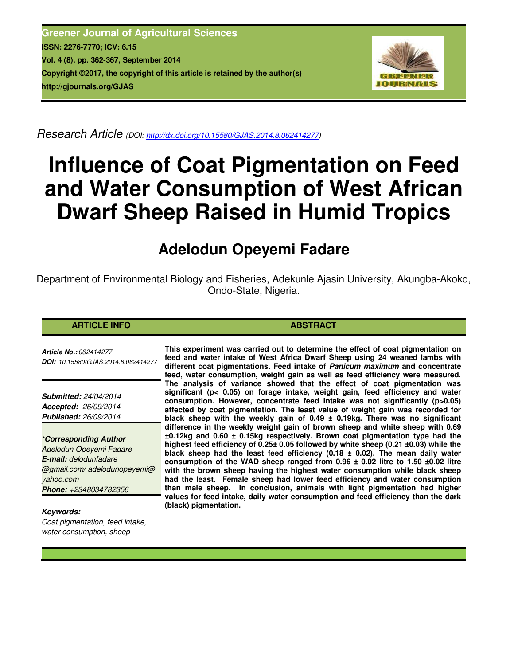**Greener Journal of Agricultural Sciences ISSN: 2276-7770; ICV: 6.15 Vol. 4 (8), pp. 362-367, September 2014 Copyright ©2017, the copyright of this article is retained by the author(s) http://gjournals.org/GJAS**



*Research Article (DOI: http://dx.doi.org/10.15580/GJAS.2014.8.062414277)*

# **Influence of Coat Pigmentation on Feed and Water Consumption of West African Dwarf Sheep Raised in Humid Tropics**

# **Adelodun Opeyemi Fadare**

Department of Environmental Biology and Fisheries, Adekunle Ajasin University, Akungba-Akoko, Ondo-State, Nigeria.

#### **ARTICLE INFO ABSTRACT**

*Article No.: 062414277 DOI: 10.15580/GJAS.2014.8.062414277*

*Submitted: 24/04/2014 Accepted: 26/09/2014 Published: 26/09/2014*

*\*Corresponding Author Adelodun Opeyemi Fadare E-mail: delodunfadare @gmail.com/ adelodunopeyemi@ yahoo.com Phone: +2348034782356*

*Keywords:* 

*Coat pigmentation, feed intake, water consumption, sheep*

**This experiment was carried out to determine the effect of coat pigmentation on feed and water intake of West Africa Dwarf Sheep using 24 weaned lambs with different coat pigmentations. Feed intake of** *Panicum maximum* **and concentrate feed, water consumption, weight gain as well as feed efficiency were measured. The analysis of variance showed that the effect of coat pigmentation was significant (p< 0.05) on forage intake, weight gain, feed efficiency and water consumption. However, concentrate feed intake was not significantly (p>0.05) affected by coat pigmentation. The least value of weight gain was recorded for black sheep with the weekly gain of 0.49 ± 0.19kg. There was no significant difference in the weekly weight gain of brown sheep and white sheep with 0.69 ±0.12kg and 0.60 ± 0.15kg respectively. Brown coat pigmentation type had the highest feed efficiency of 0.25± 0.05 followed by white sheep (0.21 ±0.03) while the black sheep had the least feed efficiency (0.18 ± 0.02). The mean daily water consumption of the WAD sheep ranged from 0.96 ± 0.02 litre to 1.50 ±0.02 litre with the brown sheep having the highest water consumption while black sheep had the least. Female sheep had lower feed efficiency and water consumption than male sheep. In conclusion, animals with light pigmentation had higher values for feed intake, daily water consumption and feed efficiency than the dark (black) pigmentation.**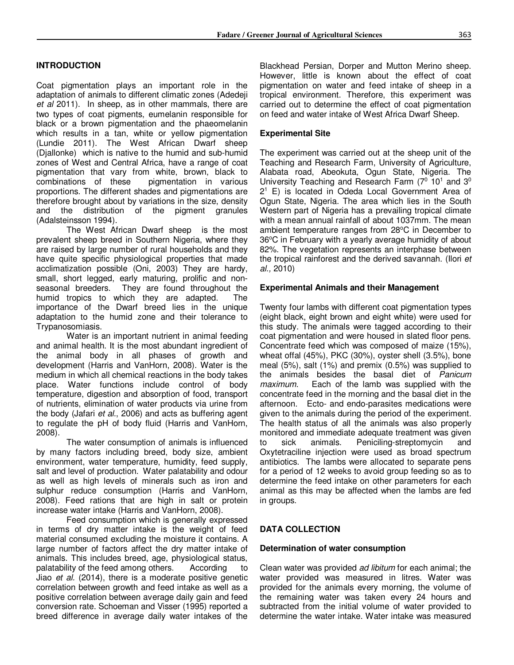#### **INTRODUCTION**

Coat pigmentation plays an important role in the adaptation of animals to different climatic zones (Adedeji *et al* 2011). In sheep, as in other mammals, there are two types of coat pigments, eumelanin responsible for black or a brown pigmentation and the phaeomelanin which results in a tan, white or yellow pigmentation (Lundie 2011). The West African Dwarf sheep (Djallonke) which is native to the humid and sub-humid zones of West and Central Africa, have a range of coat pigmentation that vary from white, brown, black to combinations of these pigmentation in various pigmentation in various proportions. The different shades and pigmentations are therefore brought about by variations in the size, density and the distribution of the pigment granules (Adalsteinsson 1994).

The West African Dwarf sheep is the most prevalent sheep breed in Southern Nigeria, where they are raised by large number of rural households and they have quite specific physiological properties that made acclimatization possible (Oni, 2003) They are hardy, small, short legged, early maturing, prolific and nonseasonal breeders. They are found throughout the humid tropics to which they are adapted. The importance of the Dwarf breed lies in the unique adaptation to the humid zone and their tolerance to Trypanosomiasis.

Water is an important nutrient in animal feeding and animal health. It is the most abundant ingredient of the animal body in all phases of growth and development (Harris and VanHorn, 2008). Water is the medium in which all chemical reactions in the body takes place. Water functions include control of body temperature, digestion and absorption of food, transport of nutrients, elimination of water products via urine from the body (Jafari *et al*., 2006) and acts as buffering agent to regulate the pH of body fluid (Harris and VanHorn, 2008).

The water consumption of animals is influenced by many factors including breed, body size, ambient environment, water temperature, humidity, feed supply, salt and level of production. Water palatability and odour as well as high levels of minerals such as iron and sulphur reduce consumption (Harris and VanHorn, 2008). Feed rations that are high in salt or protein increase water intake (Harris and VanHorn, 2008).

Feed consumption which is generally expressed in terms of dry matter intake is the weight of feed material consumed excluding the moisture it contains. A large number of factors affect the dry matter intake of animals. This includes breed, age, physiological status, palatability of the feed among others. According to Jiao *et al.* (2014), there is a moderate positive genetic correlation between growth and feed intake as well as a positive correlation between average daily gain and feed conversion rate. Schoeman and Visser (1995) reported a breed difference in average daily water intakes of the

Blackhead Persian, Dorper and Mutton Merino sheep. However, little is known about the effect of coat pigmentation on water and feed intake of sheep in a tropical environment. Therefore, this experiment was carried out to determine the effect of coat pigmentation on feed and water intake of West Africa Dwarf Sheep.

#### **Experimental Site**

The experiment was carried out at the sheep unit of the Teaching and Research Farm, University of Agriculture, Alabata road, Abeokuta, Ogun State, Nigeria. The University Teaching and Research Farm  $(7^0 10^1 1)$  and  $3^0$ 2 1 E) is located in Odeda Local Government Area of Ogun State, Nigeria. The area which lies in the South Western part of Nigeria has a prevailing tropical climate with a mean annual rainfall of about 1037mm. The mean ambient temperature ranges from 28°C in December to 36°C in February with a yearly average humidity of about 82%. The vegetation represents an interphase between the tropical rainforest and the derived savannah. (Ilori *et al.,* 2010)

#### **Experimental Animals and their Management**

Twenty four lambs with different coat pigmentation types (eight black, eight brown and eight white) were used for this study. The animals were tagged according to their coat pigmentation and were housed in slated floor pens. Concentrate feed which was composed of maize (15%), wheat offal (45%), PKC (30%), oyster shell (3.5%), bone meal (5%), salt (1%) and premix (0.5%) was supplied to the animals besides the basal diet of *Panicum maximum*. Each of the lamb was supplied with the concentrate feed in the morning and the basal diet in the afternoon. Ecto- and endo-parasites medications were given to the animals during the period of the experiment. The health status of all the animals was also properly monitored and immediate adequate treatment was given to sick animals. Peniciling-streptomycin and Oxytetraciline injection were used as broad spectrum antibiotics. The lambs were allocated to separate pens for a period of 12 weeks to avoid group feeding so as to determine the feed intake on other parameters for each animal as this may be affected when the lambs are fed in groups.

## **DATA COLLECTION**

#### **Determination of water consumption**

Clean water was provided *ad libitum* for each animal; the water provided was measured in litres. Water was provided for the animals every morning, the volume of the remaining water was taken every 24 hours and subtracted from the initial volume of water provided to determine the water intake. Water intake was measured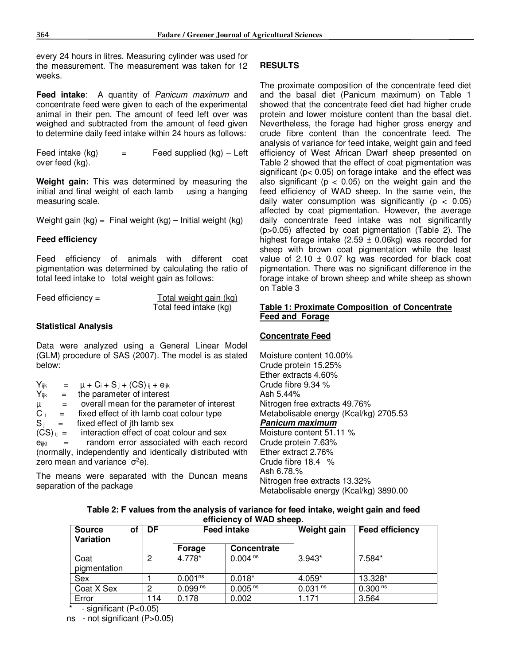every 24 hours in litres. Measuring cylinder was used for the measurement. The measurement was taken for 12 weeks.

**Feed intake**: A quantity of *Panicum maximum* and concentrate feed were given to each of the experimental animal in their pen. The amount of feed left over was weighed and subtracted from the amount of feed given to determine daily feed intake within 24 hours as follows:

Feed intake  $(kq)$  = Feed supplied  $(kq)$  – Left over feed (kg).

**Weight gain:** This was determined by measuring the initial and final weight of each lamb using a hanging measuring scale.

Weight gain  $(kg) =$  Final weight  $(kg)$  – Initial weight  $(kg)$ 

#### **Feed efficiency**

Feed efficiency of animals with different coat pigmentation was determined by calculating the ratio of total feed intake to total weight gain as follows:

| Feed efficiency $=$ | Total weight gain (kg) |  |
|---------------------|------------------------|--|
|                     | Total feed intake (kg) |  |

#### **Statistical Analysis**

Data were analyzed using a General Linear Model (GLM) procedure of SAS (2007). The model is as stated below:

| $Y_{ijk}$ | $=$                       | $\mu$ + $C_i$ + $S_j$ + $(CS)$ ij + $e_{ijk}$             |
|-----------|---------------------------|-----------------------------------------------------------|
| $Y_{ijk}$ | $=$                       | the parameter of interest                                 |
| $\mu$     | $=$                       | overall mean for the parameter of interest                |
| $C_i =$   |                           | fixed effect of ith lamb coat colour type                 |
| $S_i$     | $=$ $-$                   | fixed effect of jth lamb sex                              |
|           |                           | $(CS)_{ii}$ = interaction effect of coat colour and sex   |
| eiikl     | $\mathbf{r} = \mathbf{r}$ | random error associated with each record                  |
|           |                           | (normally, independently and identically distributed with |
|           |                           | zero mean and variance $\sigma^2 e$ ).                    |

The means were separated with the Duncan means separation of the package

#### **RESULTS**

The proximate composition of the concentrate feed diet and the basal diet (Panicum maximum) on Table 1 showed that the concentrate feed diet had higher crude protein and lower moisture content than the basal diet. Nevertheless, the forage had higher gross energy and crude fibre content than the concentrate feed. The analysis of variance for feed intake, weight gain and feed efficiency of West African Dwarf sheep presented on Table 2 showed that the effect of coat pigmentation was significant (p< 0.05) on forage intake and the effect was also significant ( $p < 0.05$ ) on the weight gain and the feed efficiency of WAD sheep. In the same vein, the daily water consumption was significantly ( $p < 0.05$ ) affected by coat pigmentation. However, the average daily concentrate feed intake was not significantly (p>0.05) affected by coat pigmentation (Table 2). The highest forage intake  $(2.59 \pm 0.06$ kg) was recorded for sheep with brown coat pigmentation while the least value of 2.10  $\pm$  0.07 kg was recorded for black coat pigmentation. There was no significant difference in the forage intake of brown sheep and white sheep as shown on Table 3

#### **Table 1: Proximate Composition of Concentrate Feed and Forage**

#### **Concentrate Feed**

Moisture content 10.00% Crude protein 15.25% Ether extracts 4.60% Crude fibre 9.34 % Ash 5.44% Nitrogen free extracts 49.76% Metabolisable energy (Kcal/kg) 2705.53 *Panicum maximum* Moisture content 51.11 % Crude protein 7.63% Ether extract 2.76% Crude fibre 18.4 % Ash 6.78.% Nitrogen free extracts 13.32% Metabolisable energy (Kcal/kg) 3890.00

#### **Table 2: F values from the analysis of variance for feed intake, weight gain and feed efficiency of WAD sheep.**

| <b>Source</b><br>οf<br>Variation | DF  | <b>Feed intake</b>  |                     | Weight gain         | <b>Feed efficiency</b> |
|----------------------------------|-----|---------------------|---------------------|---------------------|------------------------|
|                                  |     | Forage              | <b>Concentrate</b>  |                     |                        |
| Coat<br>pigmentation             | 2   | 4.778*              | 0.004 <sup>ns</sup> | $3.943*$            | $7.584*$               |
| Sex                              |     | 0.001 <sup>ns</sup> | $0.018*$            | $4.059*$            | 13.328*                |
| Coat X Sex                       | 2   | 0.099 <sup>ns</sup> | 0.005 <sup>ns</sup> | 0.031 <sup>ns</sup> | 0.300 <sup>ns</sup>    |
| Error                            | 114 | 0.178               | 0.002               | 1.171               | 3.564                  |

 $-$  significant (P<0.05)

ns - not significant (P>0.05)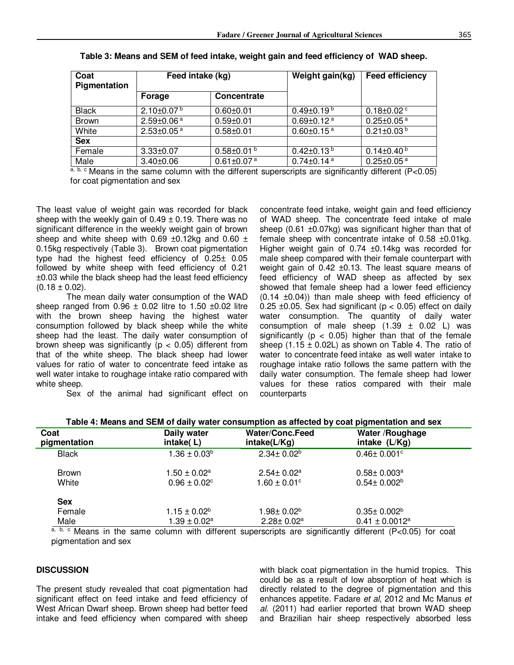| Coat<br>Pigmentation | Feed intake (kg)             |                              | Weight gain(kg)              | <b>Feed efficiency</b>       |
|----------------------|------------------------------|------------------------------|------------------------------|------------------------------|
|                      | Forage                       | <b>Concentrate</b>           |                              |                              |
| <b>Black</b>         | $2.10\pm0.07^{b}$            | $0.60 + 0.01$                | $0.49 \pm 0.19^{b}$          | $0.18 \pm 0.02$ <sup>c</sup> |
| <b>Brown</b>         | $2.59 \pm 0.06$ <sup>a</sup> | $0.59 + 0.01$                | $0.69 \pm 0.12$ <sup>a</sup> | $0.25 \pm 0.05$ <sup>a</sup> |
| White                | $2.53 \pm 0.05$ <sup>a</sup> | $0.58 + 0.01$                | $0.60 \pm 0.15$ <sup>a</sup> | $0.21 \pm 0.03^{b}$          |
| <b>Sex</b>           |                              |                              |                              |                              |
| Female               | $3.33 \pm 0.07$              | $0.58 \pm 0.01$ b            | $0.42 \pm 0.13^{b}$          | $0.14 \pm 0.40^{\text{ b}}$  |
| Male                 | $3.40 \pm 0.06$              | $0.61 \pm 0.07$ <sup>a</sup> | $0.74 \pm 0.14$ <sup>a</sup> | $0.25 \pm 0.05$ <sup>a</sup> |

| Table 3: Means and SEM of feed intake, weight gain and feed efficiency of WAD sheep. |
|--------------------------------------------------------------------------------------|
|                                                                                      |

 $a, b, c$  Means in the same column with the different superscripts are significantly different (P<0.05) for coat pigmentation and sex

The least value of weight gain was recorded for black sheep with the weekly gain of  $0.49 \pm 0.19$ . There was no significant difference in the weekly weight gain of brown sheep and white sheep with 0.69  $\pm$ 0.12kg and 0.60  $\pm$ 0.15kg respectively (Table 3). Brown coat pigmentation type had the highest feed efficiency of 0.25± 0.05 followed by white sheep with feed efficiency of 0.21 ±0.03 while the black sheep had the least feed efficiency  $(0.18 \pm 0.02)$ .

The mean daily water consumption of the WAD sheep ranged from  $0.96 \pm 0.02$  litre to 1.50  $\pm 0.02$  litre with the brown sheep having the highest water consumption followed by black sheep while the white sheep had the least. The daily water consumption of brown sheep was significantly ( $p < 0.05$ ) different from that of the white sheep. The black sheep had lower values for ratio of water to concentrate feed intake as well water intake to roughage intake ratio compared with white sheep.

Sex of the animal had significant effect on

concentrate feed intake, weight gain and feed efficiency of WAD sheep. The concentrate feed intake of male sheep (0.61 ±0.07kg) was significant higher than that of female sheep with concentrate intake of 0.58 ±0.01kg. Higher weight gain of 0.74 ±0.14kg was recorded for male sheep compared with their female counterpart with weight gain of 0.42 ±0.13. The least square means of feed efficiency of WAD sheep as affected by sex showed that female sheep had a lower feed efficiency  $(0.14 \pm 0.04)$ ) than male sheep with feed efficiency of 0.25  $\pm$ 0.05. Sex had significant ( $p < 0.05$ ) effect on daily water consumption. The quantity of daily water consumption of male sheep  $(1.39 \pm 0.02)$  L) was significantly ( $p < 0.05$ ) higher than that of the female sheep  $(1.15 \pm 0.02L)$  as shown on Table 4. The ratio of water to concentrate feed intake as well water intake to roughage intake ratio follows the same pattern with the daily water consumption. The female sheep had lower values for these ratios compared with their male counterparts

| Coat<br>pigmentation | Daily water<br>intake(L)     | <b>Water/Conc.Feed</b><br>intake(L/Kg) | Water / Roughage<br>intake (L/Kg) |
|----------------------|------------------------------|----------------------------------------|-----------------------------------|
| <b>Black</b>         | $1.36 \pm 0.03^b$            | $2.34 \pm 0.02^b$                      | $0.46 \pm 0.001$ °                |
| <b>Brown</b>         | $1.50\pm0.02^{\rm a}$        | $2.54 \pm 0.02^a$                      | $0.58 \pm 0.003^a$                |
| White                | $0.96 \pm 0.02$ <sup>c</sup> | $1.60 \pm 0.01$ °                      | $0.54 \pm 0.002^b$                |
| <b>Sex</b>           |                              |                                        |                                   |
| Female               | $1.15 \pm 0.02^b$            | $1.98 \pm 0.02^b$                      | $0.35 \pm 0.002^b$                |
| Male                 | $1.39 \pm 0.02^a$            | $2.28 \pm 0.02^a$                      | $0.41 \pm 0.0012$ <sup>a</sup>    |

Means in the same column with different superscripts are significantly different  $(P < 0.05)$  for coat pigmentation and sex

#### **DISCUSSION**

The present study revealed that coat pigmentation had significant effect on feed intake and feed efficiency of West African Dwarf sheep. Brown sheep had better feed intake and feed efficiency when compared with sheep

with black coat pigmentation in the humid tropics. This could be as a result of low absorption of heat which is directly related to the degree of pigmentation and this enhances appetite. Fadare *et al*, 2012 and Mc Manus *et al.* (2011) had earlier reported that brown WAD sheep and Brazilian hair sheep respectively absorbed less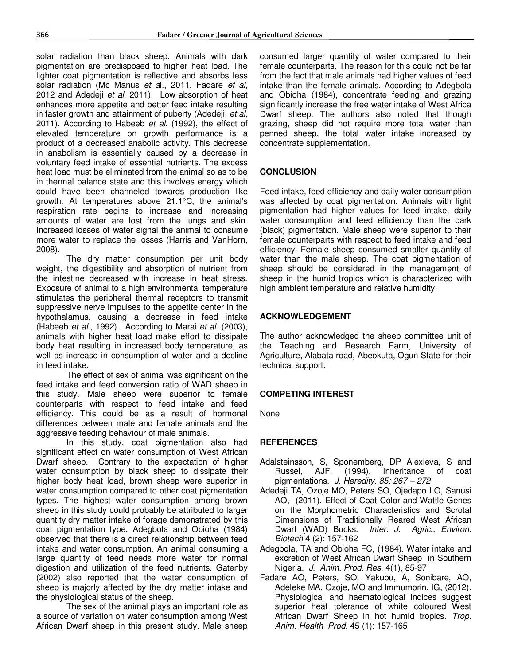solar radiation than black sheep. Animals with dark pigmentation are predisposed to higher heat load. The lighter coat pigmentation is reflective and absorbs less solar radiation (Mc Manus *et a*l., 2011, Fadare *et al*, 2012 and Adedeji *et al*, 2011). Low absorption of heat enhances more appetite and better feed intake resulting in faster growth and attainment of puberty (Adedeji, *et al*, 2011). According to Habeeb *et al*. (1992), the effect of elevated temperature on growth performance is a product of a decreased anabolic activity. This decrease in anabolism is essentially caused by a decrease in voluntary feed intake of essential nutrients. The excess heat load must be eliminated from the animal so as to be in thermal balance state and this involves energy which could have been channeled towards production like growth. At temperatures above 21.1°C, the animal's respiration rate begins to increase and increasing amounts of water are lost from the lungs and skin. Increased losses of water signal the animal to consume more water to replace the losses (Harris and VanHorn, 2008).

 The dry matter consumption per unit body weight, the digestibility and absorption of nutrient from the intestine decreased with increase in heat stress. Exposure of animal to a high environmental temperature stimulates the peripheral thermal receptors to transmit suppressive nerve impulses to the appetite center in the hypothalamus, causing a decrease in feed intake (Habeeb *et al*., 1992). According to Marai *et al.* (2003), animals with higher heat load make effort to dissipate body heat resulting in increased body temperature, as well as increase in consumption of water and a decline in feed intake.

 The effect of sex of animal was significant on the feed intake and feed conversion ratio of WAD sheep in this study. Male sheep were superior to female counterparts with respect to feed intake and feed efficiency. This could be as a result of hormonal differences between male and female animals and the aggressive feeding behaviour of male animals.

 In this study, coat pigmentation also had significant effect on water consumption of West African Dwarf sheep. Contrary to the expectation of higher water consumption by black sheep to dissipate their higher body heat load, brown sheep were superior in water consumption compared to other coat pigmentation types. The highest water consumption among brown sheep in this study could probably be attributed to larger quantity dry matter intake of forage demonstrated by this coat pigmentation type. Adegbola and Obioha (1984) observed that there is a direct relationship between feed intake and water consumption. An animal consuming a large quantity of feed needs more water for normal digestion and utilization of the feed nutrients. Gatenby (2002) also reported that the water consumption of sheep is majorly affected by the dry matter intake and the physiological status of the sheep.

 The sex of the animal plays an important role as a source of variation on water consumption among West African Dwarf sheep in this present study. Male sheep

consumed larger quantity of water compared to their female counterparts. The reason for this could not be far from the fact that male animals had higher values of feed intake than the female animals. According to Adegbola and Obioha (1984), concentrate feeding and grazing significantly increase the free water intake of West Africa Dwarf sheep. The authors also noted that though grazing, sheep did not require more total water than penned sheep, the total water intake increased by concentrate supplementation.

# **CONCLUSION**

Feed intake, feed efficiency and daily water consumption was affected by coat pigmentation. Animals with light pigmentation had higher values for feed intake, daily water consumption and feed efficiency than the dark (black) pigmentation. Male sheep were superior to their female counterparts with respect to feed intake and feed efficiency. Female sheep consumed smaller quantity of water than the male sheep. The coat pigmentation of sheep should be considered in the management of sheep in the humid tropics which is characterized with high ambient temperature and relative humidity.

# **ACKNOWLEDGEMENT**

The author acknowledged the sheep committee unit of the Teaching and Research Farm, University of Agriculture, Alabata road, Abeokuta, Ogun State for their technical support.

## **COMPETING INTEREST**

None

## **REFERENCES**

- Adalsteinsson, S, Sponemberg, DP Alexieva, S and Russel, AJF, (1994). Inheritance of coat pigmentations. *J. Heredity. 85: 267 – 272*
- Adedeji TA, Ozoje MO, Peters SO, Ojedapo LO, Sanusi AO, (2011). Effect of Coat Color and Wattle Genes on the Morphometric Characteristics and Scrotal Dimensions of Traditionally Reared West African Dwarf (WAD) Bucks. *Inter. J. Agric., Environ. Biotech* 4 (2): 157-162
- Adegbola, TA and Obioha FC, (1984). Water intake and excretion of West African Dwarf Sheep in Southern Nigeria. *J. Anim. Prod. Res.* 4(1), 85-97
- Fadare AO, Peters, SO, Yakubu, A, Sonibare, AO, Adeleke MA, Ozoje, MO and Immumorin, IG, (2012). Physiological and haematological indices suggest superior heat tolerance of white coloured West African Dwarf Sheep in hot humid tropics. *Trop. Anim. Health Prod.* 45 (1): 157-165